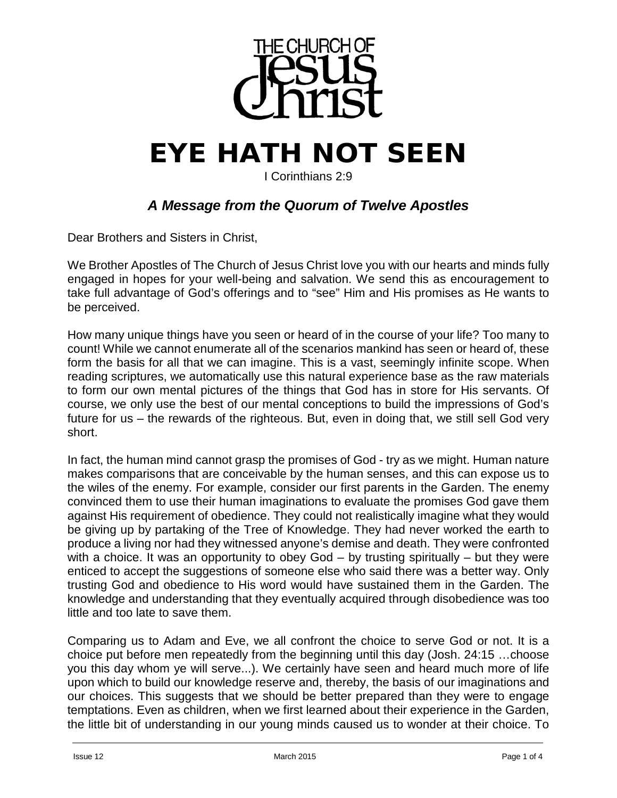

## **EYE HATH NOT SEEN**

I Corinthians 2:9

## *A Message from the Quorum of Twelve Apostles*

Dear Brothers and Sisters in Christ,

We Brother Apostles of The Church of Jesus Christ love you with our hearts and minds fully engaged in hopes for your well-being and salvation. We send this as encouragement to take full advantage of God's offerings and to "see" Him and His promises as He wants to be perceived.

How many unique things have you seen or heard of in the course of your life? Too many to count! While we cannot enumerate all of the scenarios mankind has seen or heard of, these form the basis for all that we can imagine. This is a vast, seemingly infinite scope. When reading scriptures, we automatically use this natural experience base as the raw materials to form our own mental pictures of the things that God has in store for His servants. Of course, we only use the best of our mental conceptions to build the impressions of God's future for us – the rewards of the righteous. But, even in doing that, we still sell God very short.

In fact, the human mind cannot grasp the promises of God - try as we might. Human nature makes comparisons that are conceivable by the human senses, and this can expose us to the wiles of the enemy. For example, consider our first parents in the Garden. The enemy convinced them to use their human imaginations to evaluate the promises God gave them against His requirement of obedience. They could not realistically imagine what they would be giving up by partaking of the Tree of Knowledge. They had never worked the earth to produce a living nor had they witnessed anyone's demise and death. They were confronted with a choice. It was an opportunity to obey God – by trusting spiritually – but they were enticed to accept the suggestions of someone else who said there was a better way. Only trusting God and obedience to His word would have sustained them in the Garden. The knowledge and understanding that they eventually acquired through disobedience was too little and too late to save them.

Comparing us to Adam and Eve, we all confront the choice to serve God or not. It is a choice put before men repeatedly from the beginning until this day (Josh. 24:15 …choose you this day whom ye will serve...). We certainly have seen and heard much more of life upon which to build our knowledge reserve and, thereby, the basis of our imaginations and our choices. This suggests that we should be better prepared than they were to engage temptations. Even as children, when we first learned about their experience in the Garden, the little bit of understanding in our young minds caused us to wonder at their choice. To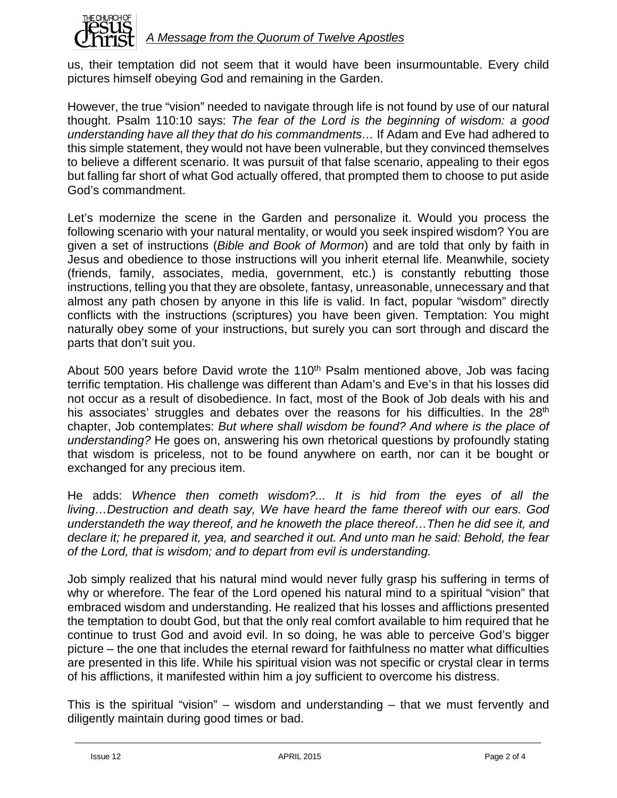

us, their temptation did not seem that it would have been insurmountable. Every child pictures himself obeying God and remaining in the Garden.

However, the true "vision" needed to navigate through life is not found by use of our natural thought. Psalm 110:10 says: *The fear of the Lord is the beginning of wisdom: a good understanding have all they that do his commandments…* If Adam and Eve had adhered to this simple statement, they would not have been vulnerable, but they convinced themselves to believe a different scenario. It was pursuit of that false scenario, appealing to their egos but falling far short of what God actually offered, that prompted them to choose to put aside God's commandment.

Let's modernize the scene in the Garden and personalize it. Would you process the following scenario with your natural mentality, or would you seek inspired wisdom? You are given a set of instructions (*Bible and Book of Mormon*) and are told that only by faith in Jesus and obedience to those instructions will you inherit eternal life. Meanwhile, society (friends, family, associates, media, government, etc.) is constantly rebutting those instructions, telling you that they are obsolete, fantasy, unreasonable, unnecessary and that almost any path chosen by anyone in this life is valid. In fact, popular "wisdom" directly conflicts with the instructions (scriptures) you have been given. Temptation: You might naturally obey some of your instructions, but surely you can sort through and discard the parts that don't suit you.

About 500 years before David wrote the 110<sup>th</sup> Psalm mentioned above, Job was facing terrific temptation. His challenge was different than Adam's and Eve's in that his losses did not occur as a result of disobedience. In fact, most of the Book of Job deals with his and his associates' struggles and debates over the reasons for his difficulties. In the 28<sup>th</sup> chapter, Job contemplates: *But where shall wisdom be found? And where is the place of understanding?* He goes on, answering his own rhetorical questions by profoundly stating that wisdom is priceless, not to be found anywhere on earth, nor can it be bought or exchanged for any precious item.

He adds: *Whence then cometh wisdom?... It is hid from the eyes of all the living…Destruction and death say, We have heard the fame thereof with our ears. God understandeth the way thereof, and he knoweth the place thereof…Then he did see it, and declare it; he prepared it, yea, and searched it out. And unto man he said: Behold, the fear of the Lord, that is wisdom; and to depart from evil is understanding.*

Job simply realized that his natural mind would never fully grasp his suffering in terms of why or wherefore. The fear of the Lord opened his natural mind to a spiritual "vision" that embraced wisdom and understanding. He realized that his losses and afflictions presented the temptation to doubt God, but that the only real comfort available to him required that he continue to trust God and avoid evil. In so doing, he was able to perceive God's bigger picture – the one that includes the eternal reward for faithfulness no matter what difficulties are presented in this life. While his spiritual vision was not specific or crystal clear in terms of his afflictions, it manifested within him a joy sufficient to overcome his distress.

This is the spiritual "vision" – wisdom and understanding – that we must fervently and diligently maintain during good times or bad.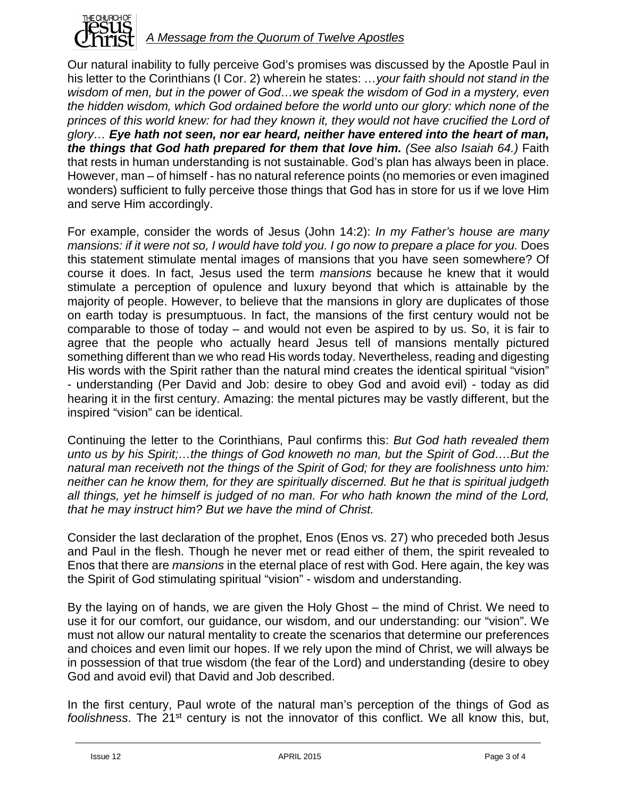

Our natural inability to fully perceive God's promises was discussed by the Apostle Paul in his letter to the Corinthians (I Cor. 2) wherein he states: *…your faith should not stand in the wisdom of men, but in the power of God…we speak the wisdom of God in a mystery, even the hidden wisdom, which God ordained before the world unto our glory: which none of the*  princes of this world knew: for had they known it, they would not have crucified the Lord of *glory… Eye hath not seen, nor ear heard, neither have entered into the heart of man, the things that God hath prepared for them that love him. (See also Isaiah 64.)* Faith that rests in human understanding is not sustainable. God's plan has always been in place. However, man – of himself - has no natural reference points (no memories or even imagined wonders) sufficient to fully perceive those things that God has in store for us if we love Him and serve Him accordingly.

For example, consider the words of Jesus (John 14:2): *In my Father's house are many*  mansions: if it were not so, I would have told you. I go now to prepare a place for you. Does this statement stimulate mental images of mansions that you have seen somewhere? Of course it does. In fact, Jesus used the term *mansions* because he knew that it would stimulate a perception of opulence and luxury beyond that which is attainable by the majority of people. However, to believe that the mansions in glory are duplicates of those on earth today is presumptuous. In fact, the mansions of the first century would not be comparable to those of today – and would not even be aspired to by us. So, it is fair to agree that the people who actually heard Jesus tell of mansions mentally pictured something different than we who read His words today. Nevertheless, reading and digesting His words with the Spirit rather than the natural mind creates the identical spiritual "vision" - understanding (Per David and Job: desire to obey God and avoid evil) - today as did hearing it in the first century. Amazing: the mental pictures may be vastly different, but the inspired "vision" can be identical.

Continuing the letter to the Corinthians, Paul confirms this: *But God hath revealed them unto us by his Spirit;…the things of God knoweth no man, but the Spirit of God….But the natural man receiveth not the things of the Spirit of God; for they are foolishness unto him: neither can he know them, for they are spiritually discerned. But he that is spiritual judgeth all things, yet he himself is judged of no man. For who hath known the mind of the Lord, that he may instruct him? But we have the mind of Christ.* 

Consider the last declaration of the prophet, Enos (Enos vs. 27) who preceded both Jesus and Paul in the flesh. Though he never met or read either of them, the spirit revealed to Enos that there are *mansions* in the eternal place of rest with God. Here again, the key was the Spirit of God stimulating spiritual "vision" - wisdom and understanding.

By the laying on of hands, we are given the Holy Ghost – the mind of Christ. We need to use it for our comfort, our guidance, our wisdom, and our understanding: our "vision". We must not allow our natural mentality to create the scenarios that determine our preferences and choices and even limit our hopes. If we rely upon the mind of Christ, we will always be in possession of that true wisdom (the fear of the Lord) and understanding (desire to obey God and avoid evil) that David and Job described.

In the first century, Paul wrote of the natural man's perception of the things of God as foolishness. The 21<sup>st</sup> century is not the innovator of this conflict. We all know this, but,